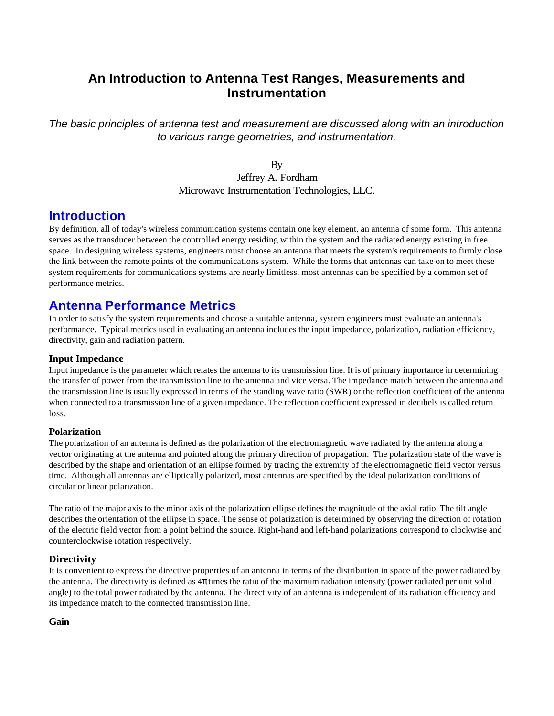## **An Introduction to Antenna Test Ranges, Measurements and Instrumentation**

*The basic principles of antenna test and measurement are discussed along with an introduction to various range geometries, and instrumentation.*

> By Jeffrey A. Fordham Microwave Instrumentation Technologies, LLC.

## **Introduction**

By definition, all of today's wireless communication systems contain one key element, an antenna of some form. This antenna serves as the transducer between the controlled energy residing within the system and the radiated energy existing in free space. In designing wireless systems, engineers must choose an antenna that meets the system's requirements to firmly close the link between the remote points of the communications system. While the forms that antennas can take on to meet these system requirements for communications systems are nearly limitless, most antennas can be specified by a common set of performance metrics.

## **Antenna Performance Metrics**

In order to satisfy the system requirements and choose a suitable antenna, system engineers must evaluate an antenna's performance. Typical metrics used in evaluating an antenna includes the input impedance, polarization, radiation efficiency, directivity, gain and radiation pattern.

### **Input Impedance**

Input impedance is the parameter which relates the antenna to its transmission line. It is of primary importance in determining the transfer of power from the transmission line to the antenna and vice versa. The impedance match between the antenna and the transmission line is usually expressed in terms of the standing wave ratio (SWR) or the reflection coefficient of the antenna when connected to a transmission line of a given impedance. The reflection coefficient expressed in decibels is called return loss.

### **Polarization**

The polarization of an antenna is defined as the polarization of the electromagnetic wave radiated by the antenna along a vector originating at the antenna and pointed along the primary direction of propagation. The polarization state of the wave is described by the shape and orientation of an ellipse formed by tracing the extremity of the electromagnetic field vector versus time. Although all antennas are elliptically polarized, most antennas are specified by the ideal polarization conditions of circular or linear polarization.

The ratio of the major axis to the minor axis of the polarization ellipse defines the magnitude of the axial ratio. The tilt angle describes the orientation of the ellipse in space. The sense of polarization is determined by observing the direction of rotation of the electric field vector from a point behind the source. Right-hand and left-hand polarizations correspond to clockwise and counterclockwise rotation respectively.

### **Directivity**

It is convenient to express the directive properties of an antenna in terms of the distribution in space of the power radiated by the antenna. The directivity is defined as  $4\pi$  times the ratio of the maximum radiation intensity (power radiated per unit solid angle) to the total power radiated by the antenna. The directivity of an antenna is independent of its radiation efficiency and its impedance match to the connected transmission line.

### **Gain**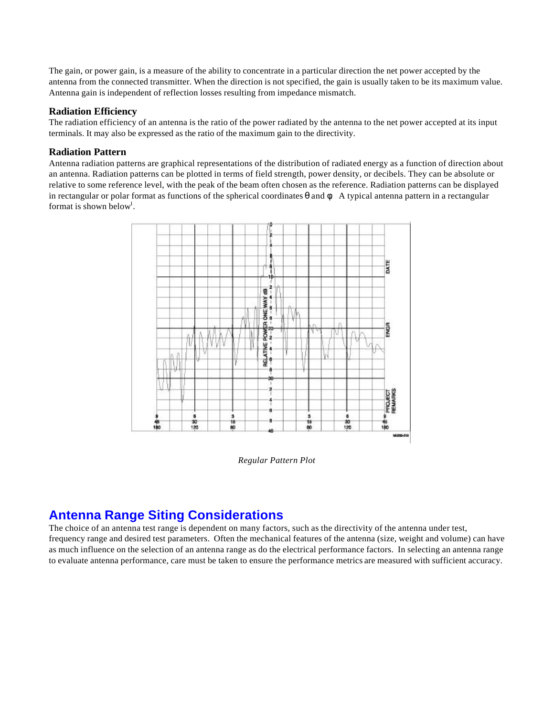The gain, or power gain, is a measure of the ability to concentrate in a particular direction the net power accepted by the antenna from the connected transmitter. When the direction is not specified, the gain is usually taken to be its maximum value. Antenna gain is independent of reflection losses resulting from impedance mismatch.

#### **Radiation Efficiency**

The radiation efficiency of an antenna is the ratio of the power radiated by the antenna to the net power accepted at its input terminals. It may also be expressed as the ratio of the maximum gain to the directivity.

#### **Radiation Pattern**

Antenna radiation patterns are graphical representations of the distribution of radiated energy as a function of direction about an antenna. Radiation patterns can be plotted in terms of field strength, power density, or decibels. They can be absolute or relative to some reference level, with the peak of the beam often chosen as the reference. Radiation patterns can be displayed in rectangular or polar format as functions of the spherical coordinates  $\theta$  and  $\phi$ . A typical antenna pattern in a rectangular format is shown below<sup>1</sup>.



*Regular Pattern Plot*

# **Antenna Range Siting Considerations**

The choice of an antenna test range is dependent on many factors, such as the directivity of the antenna under test, frequency range and desired test parameters. Often the mechanical features of the antenna (size, weight and volume) can have as much influence on the selection of an antenna range as do the electrical performance factors. In selecting an antenna range to evaluate antenna performance, care must be taken to ensure the performance metrics are measured with sufficient accuracy.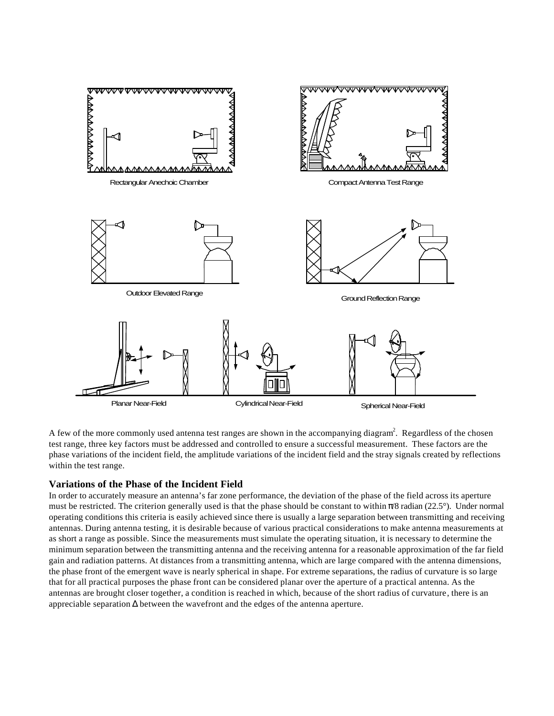

A few of the more commonly used antenna test ranges are shown in the accompanying diagram<sup>2</sup>. Regardless of the chosen test range, three key factors must be addressed and controlled to ensure a successful measurement. These factors are the phase variations of the incident field, the amplitude variations of the incident field and the stray signals created by reflections within the test range.

#### **Variations of the Phase of the Incident Field**

In order to accurately measure an antenna's far zone performance, the deviation of the phase of the field across its aperture must be restricted. The criterion generally used is that the phase should be constant to within  $\pi/8$  radian (22.5°). Under normal operating conditions this criteria is easily achieved since there is usually a large separation between transmitting and receiving antennas. During antenna testing, it is desirable because of various practical considerations to make antenna measurements at as short a range as possible. Since the measurements must simulate the operating situation, it is necessary to determine the minimum separation between the transmitting antenna and the receiving antenna for a reasonable approximation of the far field gain and radiation patterns. At distances from a transmitting antenna, which are large compared with the antenna dimensions, the phase front of the emergent wave is nearly spherical in shape. For extreme separations, the radius of curvature is so large that for all practical purposes the phase front can be considered planar over the aperture of a practical antenna. As the antennas are brought closer together, a condition is reached in which, because of the short radius of curvature, there is an appreciable separation  $\Delta$  between the wavefront and the edges of the antenna aperture.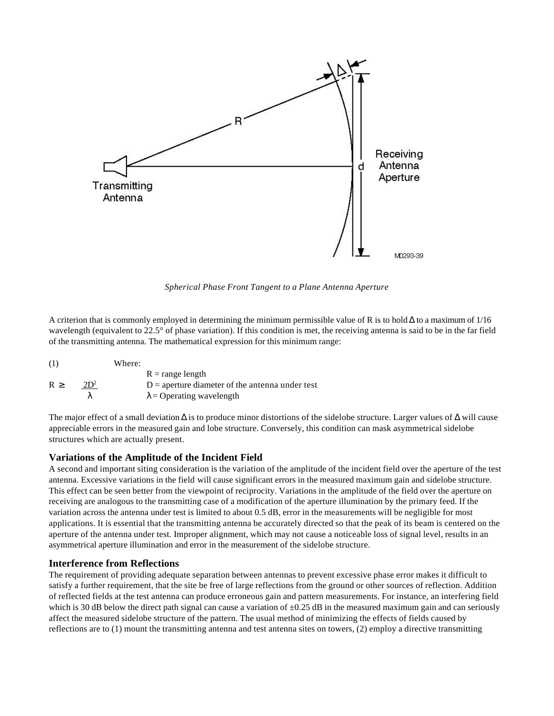

*Spherical Phase Front Tangent to a Plane Antenna Aperture*

A criterion that is commonly employed in determining the minimum permissible value of R is to hold  $\Delta$  to a maximum of 1/16 wavelength (equivalent to 22.5° of phase variation). If this condition is met, the receiving antenna is said to be in the far field of the transmitting antenna. The mathematical expression for this minimum range:

| (1) |        | Where: |                                                   |
|-----|--------|--------|---------------------------------------------------|
|     |        |        | $R = range length$                                |
| R > | $2D^2$ |        | $D =$ aperture diameter of the antenna under test |
|     |        |        | $\lambda$ = Operating wavelength                  |

The major effect of a small deviation  $\Delta$  is to produce minor distortions of the sidelobe structure. Larger values of  $\Delta$  will cause appreciable errors in the measured gain and lobe structure. Conversely, this condition can mask asymmetrical sidelobe structures which are actually present.

#### **Variations of the Amplitude of the Incident Field**

A second and important siting consideration is the variation of the amplitude of the incident field over the aperture of the test antenna. Excessive variations in the field will cause significant errors in the measured maximum gain and sidelobe structure. This effect can be seen better from the viewpoint of reciprocity. Variations in the amplitude of the field over the aperture on receiving are analogous to the transmitting case of a modification of the aperture illumination by the primary feed. If the variation across the antenna under test is limited to about 0.5 dB, error in the measurements will be negligible for most applications. It is essential that the transmitting antenna be accurately directed so that the peak of its beam is centered on the aperture of the antenna under test. Improper alignment, which may not cause a noticeable loss of signal level, results in an asymmetrical aperture illumination and error in the measurement of the sidelobe structure.

#### **Interference from Reflections**

The requirement of providing adequate separation between antennas to prevent excessive phase error makes it difficult to satisfy a further requirement, that the site be free of large reflections from the ground or other sources of reflection. Addition of reflected fields at the test antenna can produce erroneous gain and pattern measurements. For instance, an interfering field which is 30 dB below the direct path signal can cause a variation of  $\pm 0.25$  dB in the measured maximum gain and can seriously affect the measured sidelobe structure of the pattern. The usual method of minimizing the effects of fields caused by reflections are to (1) mount the transmitting antenna and test antenna sites on towers, (2) employ a directive transmitting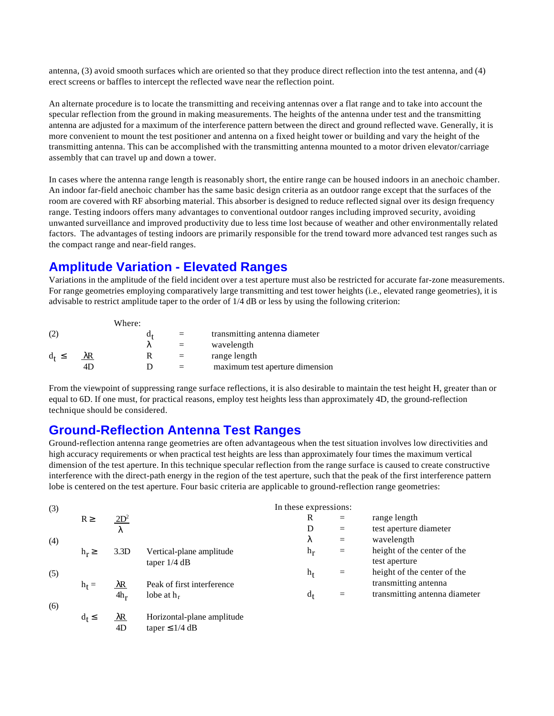antenna, (3) avoid smooth surfaces which are oriented so that they produce direct reflection into the test antenna, and (4) erect screens or baffles to intercept the reflected wave near the reflection point.

An alternate procedure is to locate the transmitting and receiving antennas over a flat range and to take into account the specular reflection from the ground in making measurements. The heights of the antenna under test and the transmitting antenna are adjusted for a maximum of the interference pattern between the direct and ground reflected wave. Generally, it is more convenient to mount the test positioner and antenna on a fixed height tower or building and vary the height of the transmitting antenna. This can be accomplished with the transmitting antenna mounted to a motor driven elevator/carriage assembly that can travel up and down a tower.

In cases where the antenna range length is reasonably short, the entire range can be housed indoors in an anechoic chamber. An indoor far-field anechoic chamber has the same basic design criteria as an outdoor range except that the surfaces of the room are covered with RF absorbing material. This absorber is designed to reduce reflected signal over its design frequency range. Testing indoors offers many advantages to conventional outdoor ranges including improved security, avoiding unwanted surveillance and improved productivity due to less time lost because of weather and other environmentally related factors. The advantages of testing indoors are primarily responsible for the trend toward more advanced test ranges such as the compact range and near-field ranges.

## **Amplitude Variation - Elevated Ranges**

Variations in the amplitude of the field incident over a test aperture must also be restricted for accurate far-zone measurements. For range geometries employing comparatively large transmitting and test tower heights (i.e., elevated range geometries), it is advisable to restrict amplitude taper to the order of 1/4 dB or less by using the following criterion:

|            | Where: |     |                                 |
|------------|--------|-----|---------------------------------|
|            | a,     | $=$ | transmitting antenna diameter   |
|            |        |     | wavelength                      |
| $d_t \leq$ |        |     | range length                    |
|            |        |     | maximum test aperture dimension |

From the viewpoint of suppressing range surface reflections, it is also desirable to maintain the test height H, greater than or equal to 6D. If one must, for practical reasons, employ test heights less than approximately 4D, the ground-reflection technique should be considered.

## **Ground-Reflection Antenna Test Ranges**

Ground-reflection antenna range geometries are often advantageous when the test situation involves low directivities and high accuracy requirements or when practical test heights are less than approximately four times the maximum vertical dimension of the test aperture. In this technique specular reflection from the range surface is caused to create constructive interference with the direct-path energy in the region of the test aperture, such that the peak of the first interference pattern lobe is centered on the test aperture. Four basic criteria are applicable to ground-reflection range geometries:

| (3) |            | In these expressions: |                            |         |          |                               |  |  |  |  |
|-----|------------|-----------------------|----------------------------|---------|----------|-------------------------------|--|--|--|--|
|     | $R \geq$   | $2D^2$                |                            | R       | $=$      | range length                  |  |  |  |  |
|     |            | λ                     |                            | D       | $=$      | test aperture diameter        |  |  |  |  |
| (4) |            |                       |                            | λ       | $=$      | wavelength                    |  |  |  |  |
|     | $h_r \geq$ | 3.3D                  | Vertical-plane amplitude   | $h_r$   | $\equiv$ | height of the center of the   |  |  |  |  |
|     |            |                       | taper $1/4$ dB             |         |          | test aperture                 |  |  |  |  |
| (5) |            |                       |                            | $h_{t}$ | $=$      | height of the center of the   |  |  |  |  |
|     | $h_t =$    | $\lambda$ R           | Peak of first interference |         |          | transmitting antenna          |  |  |  |  |
|     |            | $4h_r$                | lobe at $h_r$              | $d_{t}$ | $=$      | transmitting antenna diameter |  |  |  |  |
| (6) |            |                       |                            |         |          |                               |  |  |  |  |
|     | $d_t \leq$ | $\lambda$ R           | Horizontal-plane amplitude |         |          |                               |  |  |  |  |

4D taper  $\leq 1/4$  dB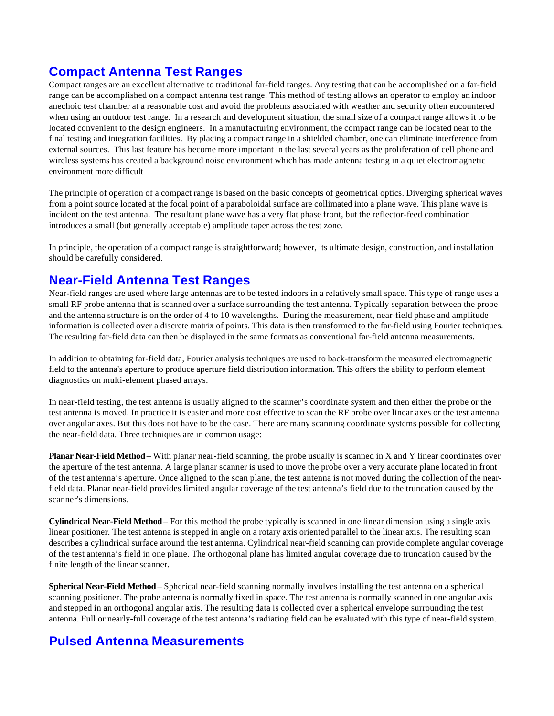# **Compact Antenna Test Ranges**

Compact ranges are an excellent alternative to traditional far-field ranges. Any testing that can be accomplished on a far-field range can be accomplished on a compact antenna test range. This method of testing allows an operator to employ an indoor anechoic test chamber at a reasonable cost and avoid the problems associated with weather and security often encountered when using an outdoor test range. In a research and development situation, the small size of a compact range allows it to be located convenient to the design engineers. In a manufacturing environment, the compact range can be located near to the final testing and integration facilities. By placing a compact range in a shielded chamber, one can eliminate interference from external sources. This last feature has become more important in the last several years as the proliferation of cell phone and wireless systems has created a background noise environment which has made antenna testing in a quiet electromagnetic environment more difficult

The principle of operation of a compact range is based on the basic concepts of geometrical optics. Diverging spherical waves from a point source located at the focal point of a paraboloidal surface are collimated into a plane wave. This plane wave is incident on the test antenna. The resultant plane wave has a very flat phase front, but the reflector-feed combination introduces a small (but generally acceptable) amplitude taper across the test zone.

In principle, the operation of a compact range is straightforward; however, its ultimate design, construction, and installation should be carefully considered.

## **Near-Field Antenna Test Ranges**

Near-field ranges are used where large antennas are to be tested indoors in a relatively small space. This type of range uses a small RF probe antenna that is scanned over a surface surrounding the test antenna. Typically separation between the probe and the antenna structure is on the order of 4 to 10 wavelengths. During the measurement, near-field phase and amplitude information is collected over a discrete matrix of points. This data is then transformed to the far-field using Fourier techniques. The resulting far-field data can then be displayed in the same formats as conventional far-field antenna measurements.

In addition to obtaining far-field data, Fourier analysis techniques are used to back-transform the measured electromagnetic field to the antenna's aperture to produce aperture field distribution information. This offers the ability to perform element diagnostics on multi-element phased arrays.

In near-field testing, the test antenna is usually aligned to the scanner's coordinate system and then either the probe or the test antenna is moved. In practice it is easier and more cost effective to scan the RF probe over linear axes or the test antenna over angular axes. But this does not have to be the case. There are many scanning coordinate systems possible for collecting the near-field data. Three techniques are in common usage:

**Planar Near-Field Method** – With planar near-field scanning, the probe usually is scanned in X and Y linear coordinates over the aperture of the test antenna. A large planar scanner is used to move the probe over a very accurate plane located in front of the test antenna's aperture. Once aligned to the scan plane, the test antenna is not moved during the collection of the nearfield data. Planar near-field provides limited angular coverage of the test antenna's field due to the truncation caused by the scanner's dimensions.

**Cylindrical Near-Field Method** – For this method the probe typically is scanned in one linear dimension using a single axis linear positioner. The test antenna is stepped in angle on a rotary axis oriented parallel to the linear axis. The resulting scan describes a cylindrical surface around the test antenna. Cylindrical near-field scanning can provide complete angular coverage of the test antenna's field in one plane. The orthogonal plane has limited angular coverage due to truncation caused by the finite length of the linear scanner.

**Spherical Near-Field Method** – Spherical near-field scanning normally involves installing the test antenna on a spherical scanning positioner. The probe antenna is normally fixed in space. The test antenna is normally scanned in one angular axis and stepped in an orthogonal angular axis. The resulting data is collected over a spherical envelope surrounding the test antenna. Full or nearly-full coverage of the test antenna's radiating field can be evaluated with this type of near-field system.

## **Pulsed Antenna Measurements**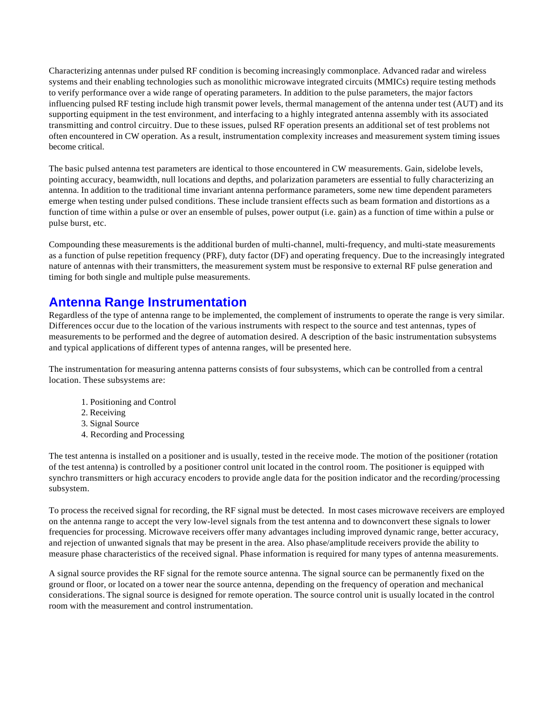Characterizing antennas under pulsed RF condition is becoming increasingly commonplace. Advanced radar and wireless systems and their enabling technologies such as monolithic microwave integrated circuits (MMICs) require testing methods to verify performance over a wide range of operating parameters. In addition to the pulse parameters, the major factors influencing pulsed RF testing include high transmit power levels, thermal management of the antenna under test (AUT) and its supporting equipment in the test environment, and interfacing to a highly integrated antenna assembly with its associated transmitting and control circuitry. Due to these issues, pulsed RF operation presents an additional set of test problems not often encountered in CW operation. As a result, instrumentation complexity increases and measurement system timing issues become critical.

The basic pulsed antenna test parameters are identical to those encountered in CW measurements. Gain, sidelobe levels, pointing accuracy, beamwidth, null locations and depths, and polarization parameters are essential to fully characterizing an antenna. In addition to the traditional time invariant antenna performance parameters, some new time dependent parameters emerge when testing under pulsed conditions. These include transient effects such as beam formation and distortions as a function of time within a pulse or over an ensemble of pulses, power output (i.e. gain) as a function of time within a pulse or pulse burst, etc.

Compounding these measurements is the additional burden of multi-channel, multi-frequency, and multi-state measurements as a function of pulse repetition frequency (PRF), duty factor (DF) and operating frequency. Due to the increasingly integrated nature of antennas with their transmitters, the measurement system must be responsive to external RF pulse generation and timing for both single and multiple pulse measurements.

## **Antenna Range Instrumentation**

Regardless of the type of antenna range to be implemented, the complement of instruments to operate the range is very similar. Differences occur due to the location of the various instruments with respect to the source and test antennas, types of measurements to be performed and the degree of automation desired. A description of the basic instrumentation subsystems and typical applications of different types of antenna ranges, will be presented here.

The instrumentation for measuring antenna patterns consists of four subsystems, which can be controlled from a central location. These subsystems are:

- 1. Positioning and Control
- 2. Receiving
- 3. Signal Source
- 4. Recording and Processing

The test antenna is installed on a positioner and is usually, tested in the receive mode. The motion of the positioner (rotation of the test antenna) is controlled by a positioner control unit located in the control room. The positioner is equipped with synchro transmitters or high accuracy encoders to provide angle data for the position indicator and the recording/processing subsystem.

To process the received signal for recording, the RF signal must be detected. In most cases microwave receivers are employed on the antenna range to accept the very low-level signals from the test antenna and to downconvert these signals to lower frequencies for processing. Microwave receivers offer many advantages including improved dynamic range, better accuracy, and rejection of unwanted signals that may be present in the area. Also phase/amplitude receivers provide the ability to measure phase characteristics of the received signal. Phase information is required for many types of antenna measurements.

A signal source provides the RF signal for the remote source antenna. The signal source can be permanently fixed on the ground or floor, or located on a tower near the source antenna, depending on the frequency of operation and mechanical considerations. The signal source is designed for remote operation. The source control unit is usually located in the control room with the measurement and control instrumentation.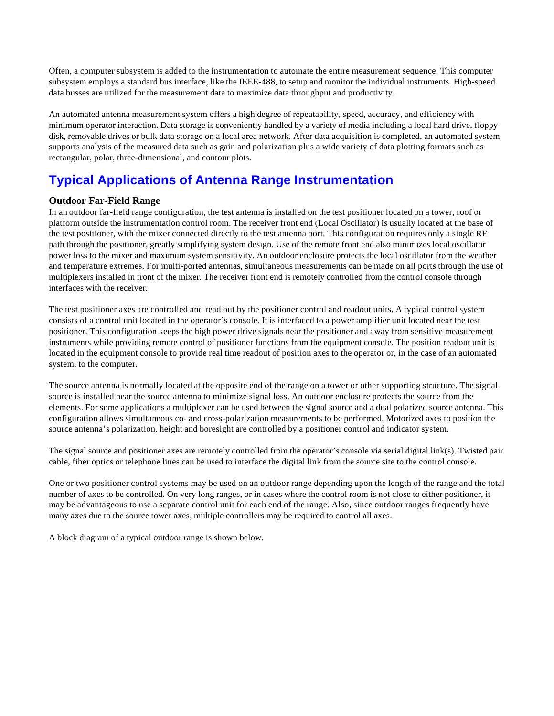Often, a computer subsystem is added to the instrumentation to automate the entire measurement sequence. This computer subsystem employs a standard bus interface, like the IEEE-488, to setup and monitor the individual instruments. High-speed data busses are utilized for the measurement data to maximize data throughput and productivity.

An automated antenna measurement system offers a high degree of repeatability, speed, accuracy, and efficiency with minimum operator interaction. Data storage is conveniently handled by a variety of media including a local hard drive, floppy disk, removable drives or bulk data storage on a local area network. After data acquisition is completed, an automated system supports analysis of the measured data such as gain and polarization plus a wide variety of data plotting formats such as rectangular, polar, three-dimensional, and contour plots.

# **Typical Applications of Antenna Range Instrumentation**

### **Outdoor Far-Field Range**

In an outdoor far-field range configuration, the test antenna is installed on the test positioner located on a tower, roof or platform outside the instrumentation control room. The receiver front end (Local Oscillator) is usually located at the base of the test positioner, with the mixer connected directly to the test antenna port. This configuration requires only a single RF path through the positioner, greatly simplifying system design. Use of the remote front end also minimizes local oscillator power loss to the mixer and maximum system sensitivity. An outdoor enclosure protects the local oscillator from the weather and temperature extremes. For multi-ported antennas, simultaneous measurements can be made on all ports through the use of multiplexers installed in front of the mixer. The receiver front end is remotely controlled from the control console through interfaces with the receiver.

The test positioner axes are controlled and read out by the positioner control and readout units. A typical control system consists of a control unit located in the operator's console. It is interfaced to a power amplifier unit located near the test positioner. This configuration keeps the high power drive signals near the positioner and away from sensitive measurement instruments while providing remote control of positioner functions from the equipment console. The position readout unit is located in the equipment console to provide real time readout of position axes to the operator or, in the case of an automated system, to the computer.

The source antenna is normally located at the opposite end of the range on a tower or other supporting structure. The signal source is installed near the source antenna to minimize signal loss. An outdoor enclosure protects the source from the elements. For some applications a multiplexer can be used between the signal source and a dual polarized source antenna. This configuration allows simultaneous co- and cross-polarization measurements to be performed. Motorized axes to position the source antenna's polarization, height and boresight are controlled by a positioner control and indicator system.

The signal source and positioner axes are remotely controlled from the operator's console via serial digital link(s). Twisted pair cable, fiber optics or telephone lines can be used to interface the digital link from the source site to the control console.

One or two positioner control systems may be used on an outdoor range depending upon the length of the range and the total number of axes to be controlled. On very long ranges, or in cases where the control room is not close to either positioner, it may be advantageous to use a separate control unit for each end of the range. Also, since outdoor ranges frequently have many axes due to the source tower axes, multiple controllers may be required to control all axes.

A block diagram of a typical outdoor range is shown below.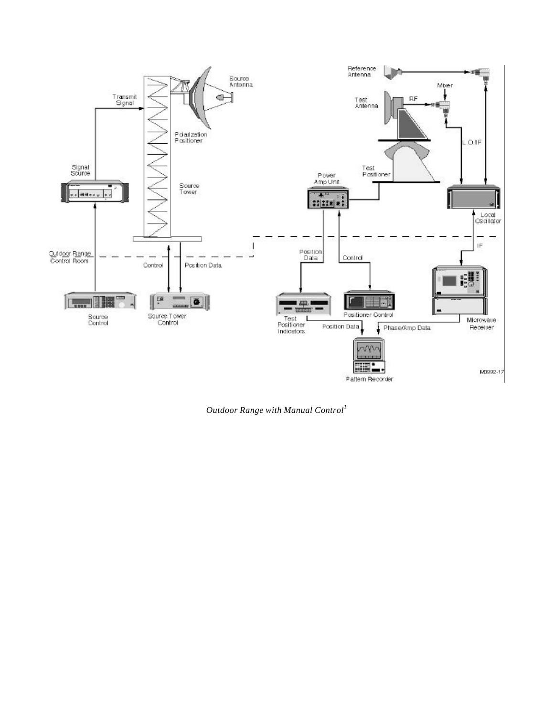

*Outdoor Range with Manual Control<sup>1</sup>*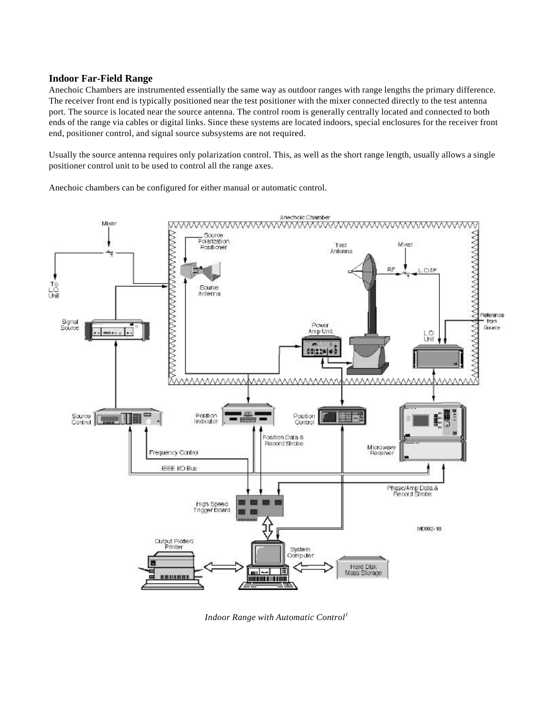#### **Indoor Far-Field Range**

Anechoic Chambers are instrumented essentially the same way as outdoor ranges with range lengths the primary difference. The receiver front end is typically positioned near the test positioner with the mixer connected directly to the test antenna port. The source is located near the source antenna. The control room is generally centrally located and connected to both ends of the range via cables or digital links. Since these systems are located indoors, special enclosures for the receiver front end, positioner control, and signal source subsystems are not required.

Usually the source antenna requires only polarization control. This, as well as the short range length, usually allows a single positioner control unit to be used to control all the range axes.

Anechoic chambers can be configured for either manual or automatic control.



*Indoor Range with Automatic Control<sup>1</sup>*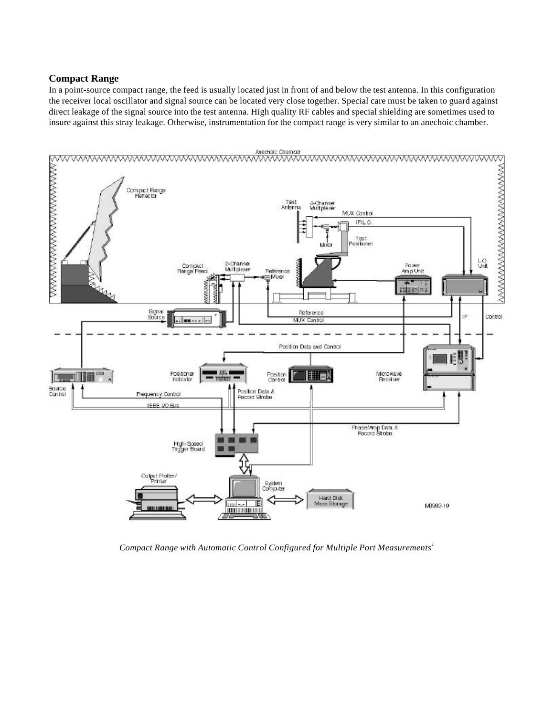#### **Compact Range**

In a point-source compact range, the feed is usually located just in front of and below the test antenna. In this configuration the receiver local oscillator and signal source can be located very close together. Special care must be taken to guard against direct leakage of the signal source into the test antenna. High quality RF cables and special shielding are sometimes used to insure against this stray leakage. Otherwise, instrumentation for the compact range is very similar to an anechoic chamber.



*Compact Range with Automatic Control Configured for Multiple Port Measurements<sup>1</sup>*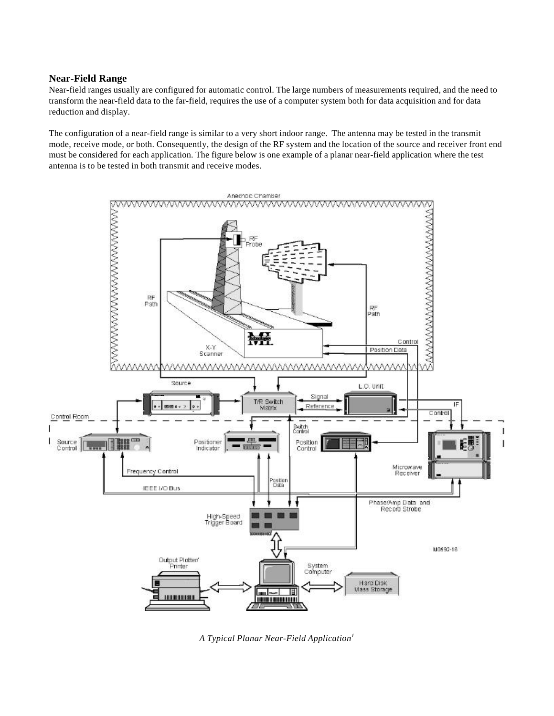#### **Near-Field Range**

Near-field ranges usually are configured for automatic control. The large numbers of measurements required, and the need to transform the near-field data to the far-field, requires the use of a computer system both for data acquisition and for data reduction and display.

The configuration of a near-field range is similar to a very short indoor range. The antenna may be tested in the transmit mode, receive mode, or both. Consequently, the design of the RF system and the location of the source and receiver front end must be considered for each application. The figure below is one example of a planar near-field application where the test antenna is to be tested in both transmit and receive modes.



*A Typical Planar Near-Field Application<sup>1</sup>*